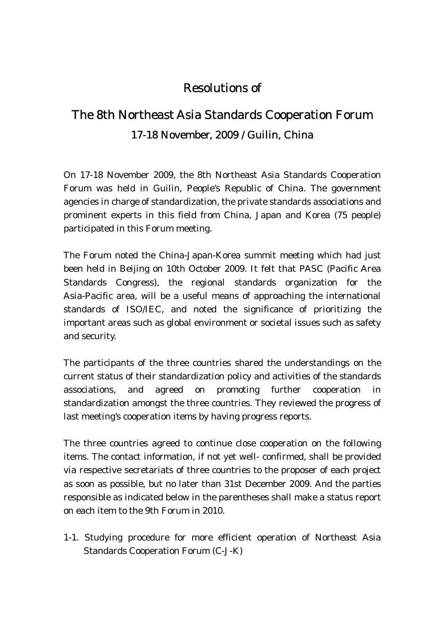## Resolutions of

## The 8th Northeast Asia Standards Cooperation Forum 17-18 November, 2009 / Guilin, China

On 17-18 November 2009, the 8th Northeast Asia Standards Cooperation Forum was held in Guilin, People's Republic of China. The government agencies in charge of standardization, the private standards associations and prominent experts in this field from China, Japan and Korea (75 people) participated in this Forum meeting.

The Forum noted the China-Japan-Korea summit meeting which had just been held in Beijing on 10th October 2009. It felt that PASC (Pacific Area Standards Congress), the regional standards organization for the Asia-Pacific area, will be a useful means of approaching the international standards of ISO/IEC, and noted the significance of prioritizing the important areas such as global environment or societal issues such as safety and security.

The participants of the three countries shared the understandings on the current status of their standardization policy and activities of the standards associations, and agreed on promoting further cooperation in standardization amongst the three countries. They reviewed the progress of last meeting's cooperation items by having progress reports.

The three countries agreed to continue close cooperation on the following items. The contact information, if not yet well- confirmed, shall be provided via respective secretariats of three countries to the proposer of each project as soon as possible, but no later than 31st December 2009. And the parties responsible as indicated below in the parentheses shall make a status report on each item to the 9th Forum in 2010.

1-1. Studying procedure for more efficient operation of Northeast Asia Standards Cooperation Forum (C-J-K)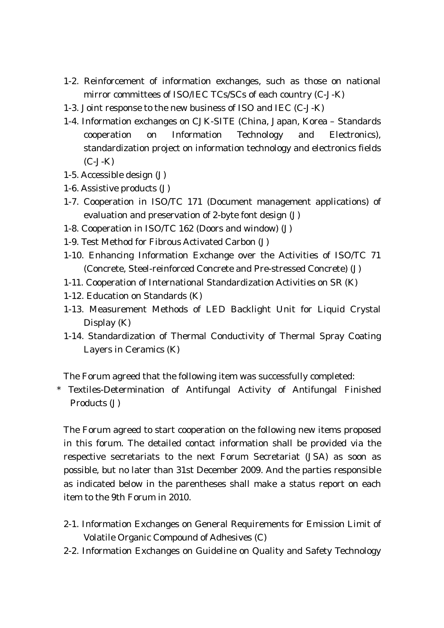- 1-2. Reinforcement of information exchanges, such as those on national mirror committees of ISO/IEC TCs/SCs of each country (C-J-K)
- 1-3. Joint response to the new business of ISO and IEC (C-J-K)
- 1-4. Information exchanges on CJK-SITE (China, Japan, Korea Standards cooperation on Information Technology and Electronics), standardization project on information technology and electronics fields (C-J-K)
- 1-5. Accessible design (J)
- 1-6. Assistive products (J)
- 1-7. Cooperation in ISO/TC 171 (Document management applications) of evaluation and preservation of 2-byte font design (J)
- 1-8. Cooperation in ISO/TC 162 (Doors and window) (J)
- 1-9. Test Method for Fibrous Activated Carbon (J)
- 1-10. Enhancing Information Exchange over the Activities of ISO/TC 71 (Concrete, Steel-reinforced Concrete and Pre-stressed Concrete) (J)
- 1-11. Cooperation of International Standardization Activities on SR (K)
- 1-12. Education on Standards (K)
- 1-13. Measurement Methods of LED Backlight Unit for Liquid Crystal Display (K)
- 1-14. Standardization of Thermal Conductivity of Thermal Spray Coating Layers in Ceramics (K)

The Forum agreed that the following item was successfully completed:

\* Textiles-Determination of Antifungal Activity of Antifungal Finished Products (J)

The Forum agreed to start cooperation on the following new items proposed in this forum. The detailed contact information shall be provided via the respective secretariats to the next Forum Secretariat (JSA) as soon as possible, but no later than 31st December 2009. And the parties responsible as indicated below in the parentheses shall make a status report on each item to the 9th Forum in 2010.

- 2-1. Information Exchanges on General Requirements for Emission Limit of Volatile Organic Compound of Adhesives (C)
- 2-2. Information Exchanges on Guideline on Quality and Safety Technology